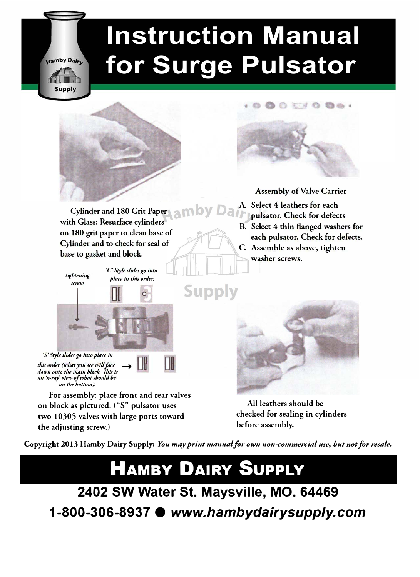# **Instruction Manual for Surge Pulsator**





**Assembly of Valve Carrier**

- **A. Select 4 leathers for each**
	- **pulsator. Check for defects**
- **B. Select 4 thin flanged washers for each puJsator. Check for defects. C. Assemble as above, tighten washer screws.**



**All leathers should be**  checked for sealing in cylinders **before assembly.** 

Copyright 2013 Hamby Dairy Supply: You may print manual for own non-commercial use, but not for resale.

## **HAMBY DAIRY SUPPLY**

**2402 SW Water St. Maysville, MO. 64469 1-800-306-8937 •** *www.hambydairysupply.com*

Cylinder and 180 Grit Paper **and by** Dair **with Glass: Resurface cylinders on 180 grit paper to clean base of Cylinder and to check for seal of base to gasket and block.** 

*tightening screw* 

Hamby Dairu

Supply

place in this order.

'C' *Style slides go into* 



*'S' Style slides go into place in* this order (what you see will face this order (what you see will face<br>down onto the main block. This is<br>an 'x-ray' view of what should be *011 the bottom).*



**For assembly: place front and rear valves on block as pictured. (''S" pulsator uses two 10305 valves with large ports toward the adjusting screw.)**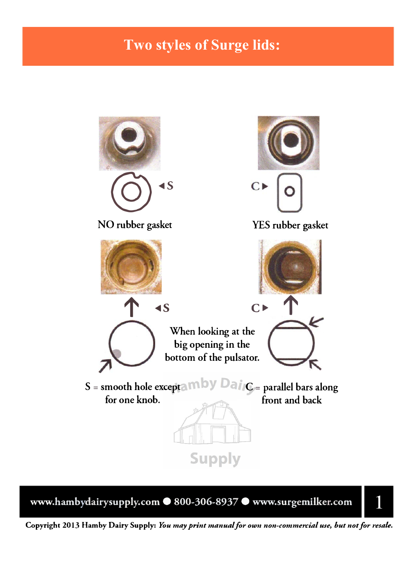### **Two styles of Surge lids:**



**www.hambydairysupply.com • 800-306-8937 • www.surgemilker.com** 



**Copyright 2013 Hamby Dairy** Supply: *You may print manual for oum non-commercial use, but not for resale.*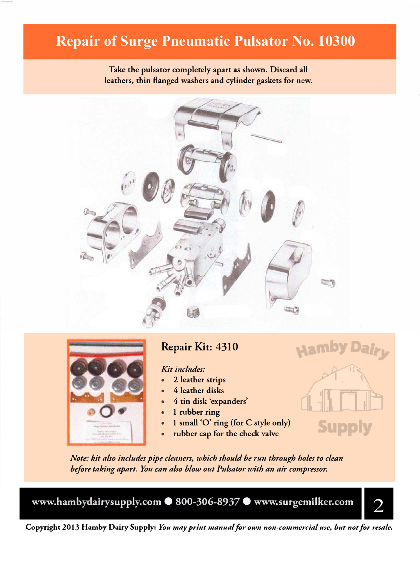### **Repair of Surge Pneumatic Pulsator No. 10300**

**Take the pulsator completely apart as shown. Discard all leathers, thin flanged washers and cylinder gaskets for new.**





#### Repair Kit: 4310

#### *Kit includes:*

- **• 2 leather strips**
- **• 4 leather disks**
- **• 4 tin disk 'expanders'**
- **• 1 rubber ring**
- **• 1 small 'O' ring (for C style only)**
- **• rubber cap for the check valve**

*Note: kit also includes pipe cleaners, which should be run through holes to clean* before taking apart. You can also blow out Pulsator with an air compressor.

**www.hambydairysupply.com • 800-306-8937 • www.surgemilker.com** 



Sup

**Copyright 2013 Hamby Dairy Supply:** *You may print manual for own non-commercial use, but not for resale.*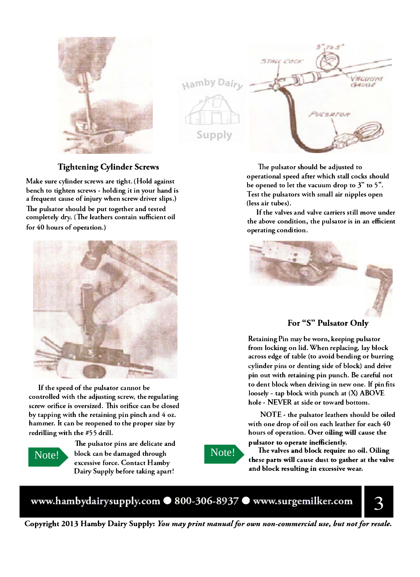

Hamby Dair

Supply

## STALL COCK VACUUM  $GACGL$ WEDTO.

**The pulsator should be adjusted to operational speed after which stall cocks should be opened to let the vacuum drop to 3" to 5". Test the pulsators with small air nipples open (less air tubes).** 

**If the valves and valve carriers still move under the above condition, the pulsator is in an efficient operating condition.** 



For "S" Pulsator Onl<sup>y</sup>

**Retaining Pin may be worn, keeping pulsator from locking on lid. When replacing, lay block across edge of table ( to avoid bending or burring cylinder pins or denting side of block) and drive pin out with retaining pin punch. Be careful not to dent block when driving in new one. If pin fits**  loosely - tap block with punch at (X) ABOVE **hole - NEVER at side or toward bottom.** 

**NOTE - the pulsator leathers should be oiled with one drop of oil on each leather for each 40 hours of operation. Over oiling will cause the pulsator to operate inefficiently.** 

**Tue valves and block require no oil. Oiling these parts will cause dust to gather at the valve and block resulting in excessive wear.** 

www.hambydairysupply.com · 800-306-8937 · www.surgemilker.com

3

**Copyright 2013 Hamby** Dairy **Supply:** *Yott may print manual for own non-commercial use, but not for resale.*

#### Tightening Cylinder Screws

**Make sure cylinder screws are tight. (Hold against bench to tighten screws - holding it in your hand is a frequent cause of injury when screw driver slips.) The pulsator should be put together and tested completely dry . (The leathers contain sufficient oil for 40 hours of operation.)** 



**If the speed of the pulsator cannot be controlled with the adjusting screw, the regulating screw orifice is oversized. 'This orifice can be closed by tapping with the retaining pin pinch and 4 oz. hammer. It can be reopened to the proper size by redrilling with the #55 drill.** 



**The pulsator pins are delicate and**  Note! block can be damaged through **Note! excessive force. Contact Hamby Dairy Supply before taking apart!**